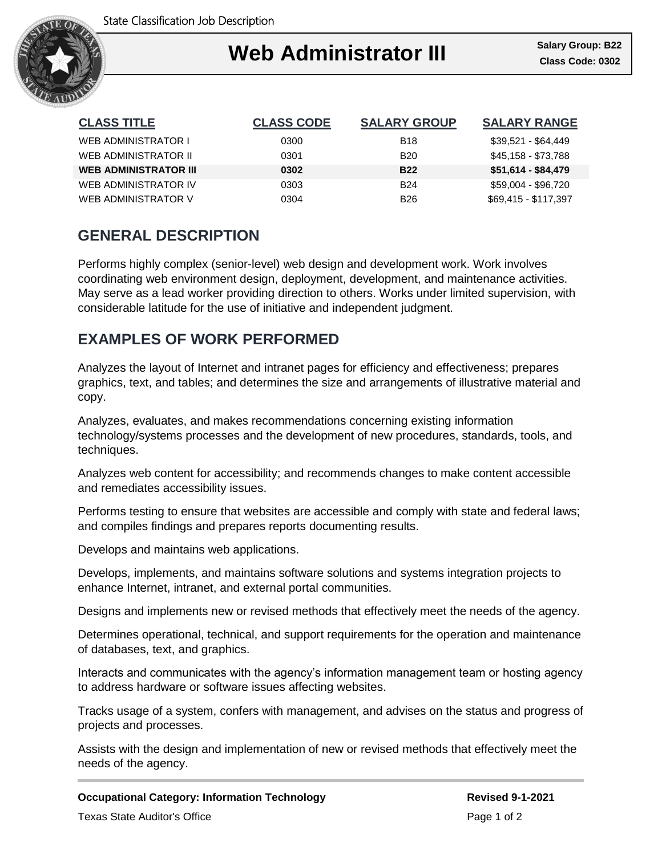

## ٦ **Web Administrator III**

| <b>CLASS TITLE</b>           | <b>CLASS CODE</b> | <b>SALARY GROUP</b> | <b>SALARY RANGE</b>  |
|------------------------------|-------------------|---------------------|----------------------|
| WEB ADMINISTRATOR I          | 0300              | <b>B18</b>          | \$39,521 - \$64,449  |
| WEB ADMINISTRATOR II         | 0301              | <b>B20</b>          | \$45,158 - \$73,788  |
| <b>WEB ADMINISTRATOR III</b> | 0302              | <b>B22</b>          | $$51,614 - $84,479$  |
| WEB ADMINISTRATOR IV         | 0303              | <b>B24</b>          | \$59,004 - \$96,720  |
| WEB ADMINISTRATOR V          | 0304              | <b>B26</b>          | \$69,415 - \$117,397 |

# **GENERAL DESCRIPTION**

Performs highly complex (senior-level) web design and development work. Work involves coordinating web environment design, deployment, development, and maintenance activities. May serve as a lead worker providing direction to others. Works under limited supervision, with considerable latitude for the use of initiative and independent judgment.

# **EXAMPLES OF WORK PERFORMED**

Analyzes the layout of Internet and intranet pages for efficiency and effectiveness; prepares graphics, text, and tables; and determines the size and arrangements of illustrative material and copy.

Analyzes, evaluates, and makes recommendations concerning existing information technology/systems processes and the development of new procedures, standards, tools, and techniques.

Analyzes web content for accessibility; and recommends changes to make content accessible and remediates accessibility issues.

Performs testing to ensure that websites are accessible and comply with state and federal laws; and compiles findings and prepares reports documenting results.

Develops and maintains web applications.

Develops, implements, and maintains software solutions and systems integration projects to enhance Internet, intranet, and external portal communities.

Designs and implements new or revised methods that effectively meet the needs of the agency.

Determines operational, technical, and support requirements for the operation and maintenance of databases, text, and graphics.

Interacts and communicates with the agency's information management team or hosting agency to address hardware or software issues affecting websites.

Tracks usage of a system, confers with management, and advises on the status and progress of projects and processes.

Assists with the design and implementation of new or revised methods that effectively meet the needs of the agency.

### **Occupational Category: Information Technology <b>Revised 9-1-2021** Revised 9-1-2021

Texas State Auditor's Office **Page 1 of 2** and 2